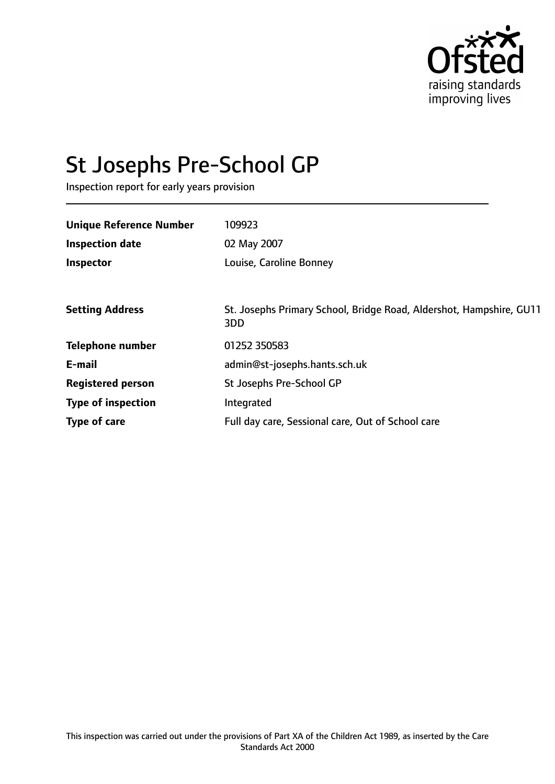

# St Josephs Pre-School GP

Inspection report for early years provision

| <b>Unique Reference Number</b> | 109923                                                                     |
|--------------------------------|----------------------------------------------------------------------------|
| <b>Inspection date</b>         | 02 May 2007                                                                |
| <b>Inspector</b>               | Louise, Caroline Bonney                                                    |
|                                |                                                                            |
| <b>Setting Address</b>         | St. Josephs Primary School, Bridge Road, Aldershot, Hampshire, GU11<br>3DD |
| <b>Telephone number</b>        | 01252 350583                                                               |
| E-mail                         | admin@st-josephs.hants.sch.uk                                              |
| <b>Registered person</b>       | St Josephs Pre-School GP                                                   |
| <b>Type of inspection</b>      | Integrated                                                                 |
| Type of care                   | Full day care, Sessional care, Out of School care                          |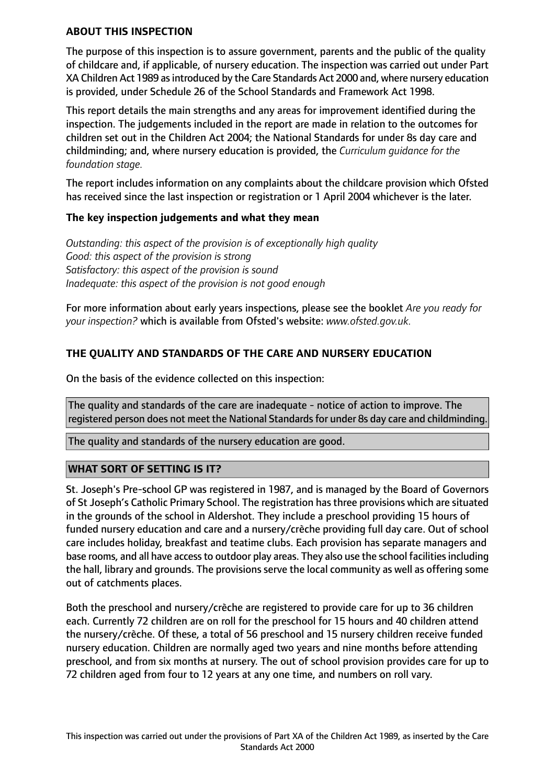## **ABOUT THIS INSPECTION**

The purpose of this inspection is to assure government, parents and the public of the quality of childcare and, if applicable, of nursery education. The inspection was carried out under Part XA Children Act 1989 asintroduced by the Care Standards Act 2000 and, where nursery education is provided, under Schedule 26 of the School Standards and Framework Act 1998.

This report details the main strengths and any areas for improvement identified during the inspection. The judgements included in the report are made in relation to the outcomes for children set out in the Children Act 2004; the National Standards for under 8s day care and childminding; and, where nursery education is provided, the *Curriculum guidance for the foundation stage.*

The report includes information on any complaints about the childcare provision which Ofsted has received since the last inspection or registration or 1 April 2004 whichever is the later.

## **The key inspection judgements and what they mean**

*Outstanding: this aspect of the provision is of exceptionally high quality Good: this aspect of the provision is strong Satisfactory: this aspect of the provision is sound Inadequate: this aspect of the provision is not good enough*

For more information about early years inspections, please see the booklet *Are you ready for your inspection?* which is available from Ofsted's website: *www.ofsted.gov.uk.*

## **THE QUALITY AND STANDARDS OF THE CARE AND NURSERY EDUCATION**

On the basis of the evidence collected on this inspection:

The quality and standards of the care are inadequate - notice of action to improve. The registered person does not meet the National Standards for under 8s day care and childminding.

The quality and standards of the nursery education are good.

## **WHAT SORT OF SETTING IS IT?**

St. Joseph's Pre-school GP was registered in 1987, and is managed by the Board of Governors of St Joseph's Catholic Primary School. The registration has three provisions which are situated in the grounds of the school in Aldershot. They include a preschool providing 15 hours of funded nursery education and care and a nursery/crèche providing full day care. Out of school care includes holiday, breakfast and teatime clubs. Each provision has separate managers and base rooms, and all have access to outdoor play areas. They also use the school facilities including the hall, library and grounds. The provisions serve the local community as well as offering some out of catchments places.

Both the preschool and nursery/crèche are registered to provide care for up to 36 children each. Currently 72 children are on roll for the preschool for 15 hours and 40 children attend the nursery/crèche. Of these, a total of 56 preschool and 15 nursery children receive funded nursery education. Children are normally aged two years and nine months before attending preschool, and from six months at nursery. The out of school provision provides care for up to 72 children aged from four to 12 years at any one time, and numbers on roll vary.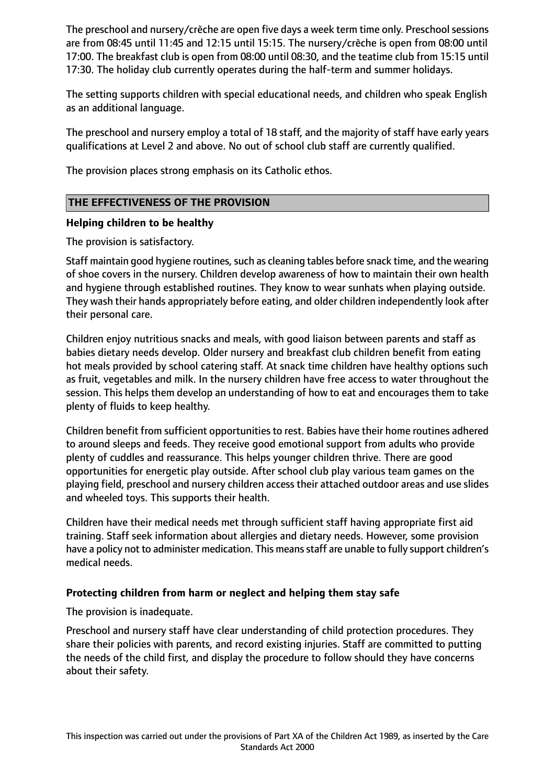The preschool and nursery/crèche are open five days a week term time only. Preschool sessions are from 08:45 until 11:45 and 12:15 until 15:15. The nursery/crèche is open from 08:00 until 17:00. The breakfast club is open from 08:00 until 08:30, and the teatime club from 15:15 until 17:30. The holiday club currently operates during the half-term and summer holidays.

The setting supports children with special educational needs, and children who speak English as an additional language.

The preschool and nursery employ a total of 18 staff, and the majority of staff have early years qualifications at Level 2 and above. No out of school club staff are currently qualified.

The provision places strong emphasis on its Catholic ethos.

## **THE EFFECTIVENESS OF THE PROVISION**

#### **Helping children to be healthy**

The provision is satisfactory.

Staff maintain good hygiene routines, such as cleaning tables before snack time, and the wearing of shoe covers in the nursery. Children develop awareness of how to maintain their own health and hygiene through established routines. They know to wear sunhats when playing outside. They wash their hands appropriately before eating, and older children independently look after their personal care.

Children enjoy nutritious snacks and meals, with good liaison between parents and staff as babies dietary needs develop. Older nursery and breakfast club children benefit from eating hot meals provided by school catering staff. At snack time children have healthy options such as fruit, vegetables and milk. In the nursery children have free access to water throughout the session. This helps them develop an understanding of how to eat and encourages them to take plenty of fluids to keep healthy.

Children benefit from sufficient opportunities to rest. Babies have their home routines adhered to around sleeps and feeds. They receive good emotional support from adults who provide plenty of cuddles and reassurance. This helps younger children thrive. There are good opportunities for energetic play outside. After school club play various team games on the playing field, preschool and nursery children access their attached outdoor areas and use slides and wheeled toys. This supports their health.

Children have their medical needs met through sufficient staff having appropriate first aid training. Staff seek information about allergies and dietary needs. However, some provision have a policy not to administer medication. This means staff are unable to fully support children's medical needs.

#### **Protecting children from harm or neglect and helping them stay safe**

The provision is inadequate.

Preschool and nursery staff have clear understanding of child protection procedures. They share their policies with parents, and record existing injuries. Staff are committed to putting the needs of the child first, and display the procedure to follow should they have concerns about their safety.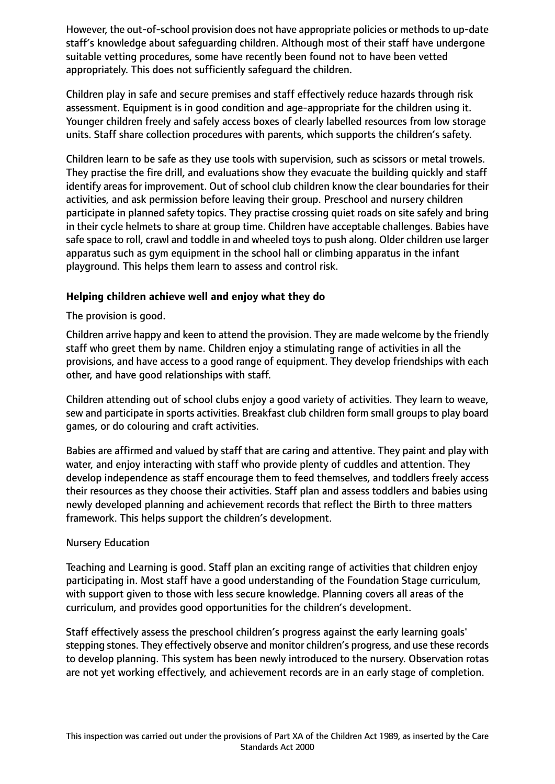However, the out-of-school provision does not have appropriate policies or methods to up-date staff's knowledge about safeguarding children. Although most of their staff have undergone suitable vetting procedures, some have recently been found not to have been vetted appropriately. This does not sufficiently safeguard the children.

Children play in safe and secure premises and staff effectively reduce hazards through risk assessment. Equipment is in good condition and age-appropriate for the children using it. Younger children freely and safely access boxes of clearly labelled resources from low storage units. Staff share collection procedures with parents, which supports the children's safety.

Children learn to be safe as they use tools with supervision, such as scissors or metal trowels. They practise the fire drill, and evaluations show they evacuate the building quickly and staff identify areas for improvement. Out of school club children know the clear boundaries for their activities, and ask permission before leaving their group. Preschool and nursery children participate in planned safety topics. They practise crossing quiet roads on site safely and bring in their cycle helmets to share at group time. Children have acceptable challenges. Babies have safe space to roll, crawl and toddle in and wheeled toys to push along. Older children use larger apparatus such as gym equipment in the school hall or climbing apparatus in the infant playground. This helps them learn to assess and control risk.

## **Helping children achieve well and enjoy what they do**

The provision is good.

Children arrive happy and keen to attend the provision. They are made welcome by the friendly staff who greet them by name. Children enjoy a stimulating range of activities in all the provisions, and have access to a good range of equipment. They develop friendships with each other, and have good relationships with staff.

Children attending out of school clubs enjoy a good variety of activities. They learn to weave, sew and participate in sports activities. Breakfast club children form small groups to play board games, or do colouring and craft activities.

Babies are affirmed and valued by staff that are caring and attentive. They paint and play with water, and enjoy interacting with staff who provide plenty of cuddles and attention. They develop independence as staff encourage them to feed themselves, and toddlers freely access their resources as they choose their activities. Staff plan and assess toddlers and babies using newly developed planning and achievement records that reflect the Birth to three matters framework. This helps support the children's development.

## Nursery Education

Teaching and Learning is good. Staff plan an exciting range of activities that children enjoy participating in. Most staff have a good understanding of the Foundation Stage curriculum, with support given to those with less secure knowledge. Planning covers all areas of the curriculum, and provides good opportunities for the children's development.

Staff effectively assess the preschool children's progress against the early learning goals' stepping stones. They effectively observe and monitor children's progress, and use these records to develop planning. This system has been newly introduced to the nursery. Observation rotas are not yet working effectively, and achievement records are in an early stage of completion.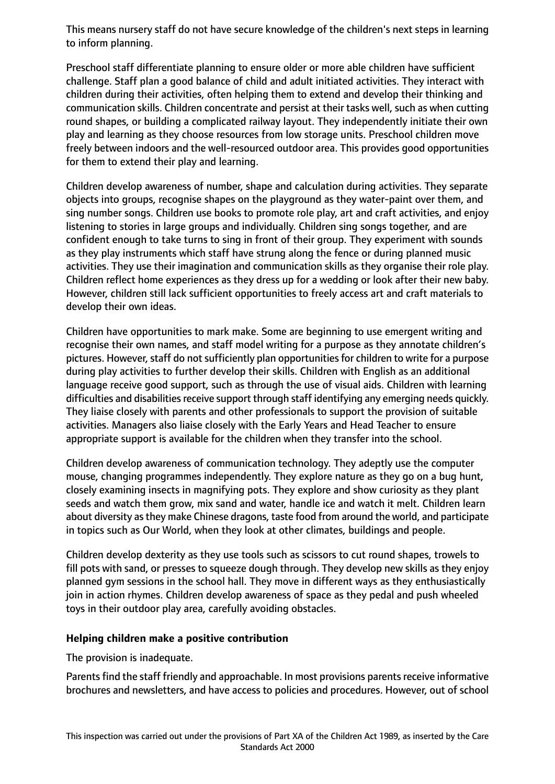This means nursery staff do not have secure knowledge of the children's next steps in learning to inform planning.

Preschool staff differentiate planning to ensure older or more able children have sufficient challenge. Staff plan a good balance of child and adult initiated activities. They interact with children during their activities, often helping them to extend and develop their thinking and communication skills. Children concentrate and persist at their tasks well, such as when cutting round shapes, or building a complicated railway layout. They independently initiate their own play and learning as they choose resources from low storage units. Preschool children move freely between indoors and the well-resourced outdoor area. This provides good opportunities for them to extend their play and learning.

Children develop awareness of number, shape and calculation during activities. They separate objects into groups, recognise shapes on the playground as they water-paint over them, and sing number songs. Children use books to promote role play, art and craft activities, and enjoy listening to stories in large groups and individually. Children sing songs together, and are confident enough to take turns to sing in front of their group. They experiment with sounds as they play instruments which staff have strung along the fence or during planned music activities. They use their imagination and communication skills as they organise their role play. Children reflect home experiences as they dress up for a wedding or look after their new baby. However, children still lack sufficient opportunities to freely access art and craft materials to develop their own ideas.

Children have opportunities to mark make. Some are beginning to use emergent writing and recognise their own names, and staff model writing for a purpose as they annotate children's pictures. However, staff do not sufficiently plan opportunities for children to write for a purpose during play activities to further develop their skills. Children with English as an additional language receive good support, such as through the use of visual aids. Children with learning difficulties and disabilities receive support through staff identifying any emerging needs quickly. They liaise closely with parents and other professionals to support the provision of suitable activities. Managers also liaise closely with the Early Years and Head Teacher to ensure appropriate support is available for the children when they transfer into the school.

Children develop awareness of communication technology. They adeptly use the computer mouse, changing programmes independently. They explore nature as they go on a bug hunt, closely examining insects in magnifying pots. They explore and show curiosity as they plant seeds and watch them grow, mix sand and water, handle ice and watch it melt. Children learn about diversity as they make Chinese dragons, taste food from around the world, and participate in topics such as Our World, when they look at other climates, buildings and people.

Children develop dexterity as they use tools such as scissors to cut round shapes, trowels to fill pots with sand, or presses to squeeze dough through. They develop new skills as they enjoy planned gym sessions in the school hall. They move in different ways as they enthusiastically join in action rhymes. Children develop awareness of space as they pedal and push wheeled toys in their outdoor play area, carefully avoiding obstacles.

## **Helping children make a positive contribution**

The provision is inadequate.

Parents find the staff friendly and approachable. In most provisions parents receive informative brochures and newsletters, and have access to policies and procedures. However, out of school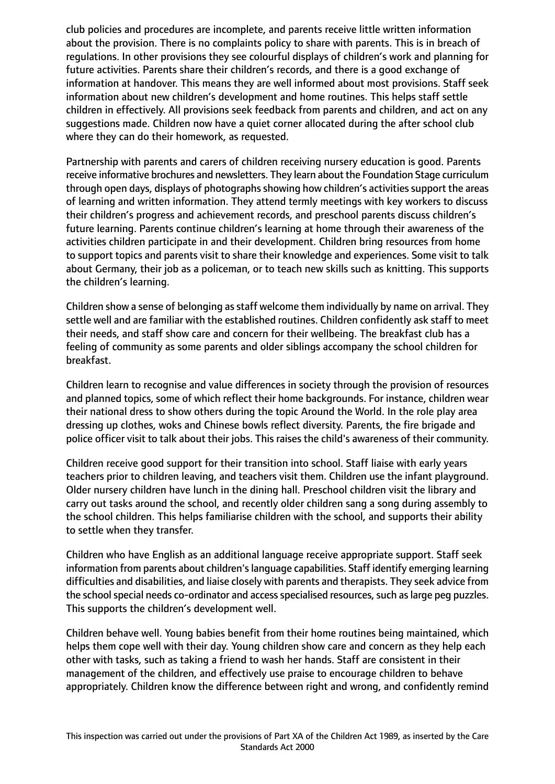club policies and procedures are incomplete, and parents receive little written information about the provision. There is no complaints policy to share with parents. This is in breach of regulations. In other provisions they see colourful displays of children's work and planning for future activities. Parents share their children's records, and there is a good exchange of information at handover. This means they are well informed about most provisions. Staff seek information about new children's development and home routines. This helps staff settle children in effectively. All provisions seek feedback from parents and children, and act on any suggestions made. Children now have a quiet corner allocated during the after school club where they can do their homework, as requested.

Partnership with parents and carers of children receiving nursery education is good. Parents receive informative brochures and newsletters. They learn about the Foundation Stage curriculum through open days, displays of photographs showing how children's activities support the areas of learning and written information. They attend termly meetings with key workers to discuss their children's progress and achievement records, and preschool parents discuss children's future learning. Parents continue children's learning at home through their awareness of the activities children participate in and their development. Children bring resources from home to support topics and parents visit to share their knowledge and experiences. Some visit to talk about Germany, their job as a policeman, or to teach new skills such as knitting. This supports the children's learning.

Children show a sense of belonging as staff welcome them individually by name on arrival. They settle well and are familiar with the established routines. Children confidently ask staff to meet their needs, and staff show care and concern for their wellbeing. The breakfast club has a feeling of community as some parents and older siblings accompany the school children for breakfast.

Children learn to recognise and value differences in society through the provision of resources and planned topics, some of which reflect their home backgrounds. For instance, children wear their national dress to show others during the topic Around the World. In the role play area dressing up clothes, woks and Chinese bowls reflect diversity. Parents, the fire brigade and police officer visit to talk about their jobs. This raises the child's awareness of their community.

Children receive good support for their transition into school. Staff liaise with early years teachers prior to children leaving, and teachers visit them. Children use the infant playground. Older nursery children have lunch in the dining hall. Preschool children visit the library and carry out tasks around the school, and recently older children sang a song during assembly to the school children. This helps familiarise children with the school, and supports their ability to settle when they transfer.

Children who have English as an additional language receive appropriate support. Staff seek information from parents about children's language capabilities. Staff identify emerging learning difficulties and disabilities, and liaise closely with parents and therapists. They seek advice from the school special needs co-ordinator and access specialised resources, such as large peg puzzles. This supports the children's development well.

Children behave well. Young babies benefit from their home routines being maintained, which helps them cope well with their day. Young children show care and concern as they help each other with tasks, such as taking a friend to wash her hands. Staff are consistent in their management of the children, and effectively use praise to encourage children to behave appropriately. Children know the difference between right and wrong, and confidently remind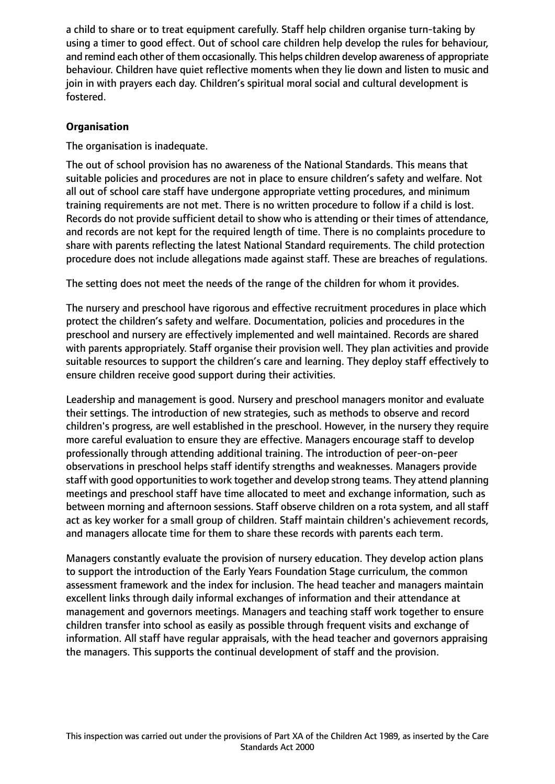a child to share or to treat equipment carefully. Staff help children organise turn-taking by using a timer to good effect. Out of school care children help develop the rules for behaviour, and remind each other of them occasionally. This helps children develop awareness of appropriate behaviour. Children have quiet reflective moments when they lie down and listen to music and join in with prayers each day. Children's spiritual moral social and cultural development is fostered.

## **Organisation**

The organisation is inadequate.

The out of school provision has no awareness of the National Standards. This means that suitable policies and procedures are not in place to ensure children's safety and welfare. Not all out of school care staff have undergone appropriate vetting procedures, and minimum training requirements are not met. There is no written procedure to follow if a child is lost. Records do not provide sufficient detail to show who is attending or their times of attendance, and records are not kept for the required length of time. There is no complaints procedure to share with parents reflecting the latest National Standard requirements. The child protection procedure does not include allegations made against staff. These are breaches of regulations.

The setting does not meet the needs of the range of the children for whom it provides.

The nursery and preschool have rigorous and effective recruitment procedures in place which protect the children's safety and welfare. Documentation, policies and procedures in the preschool and nursery are effectively implemented and well maintained. Records are shared with parents appropriately. Staff organise their provision well. They plan activities and provide suitable resources to support the children's care and learning. They deploy staff effectively to ensure children receive good support during their activities.

Leadership and management is good. Nursery and preschool managers monitor and evaluate their settings. The introduction of new strategies, such as methods to observe and record children's progress, are well established in the preschool. However, in the nursery they require more careful evaluation to ensure they are effective. Managers encourage staff to develop professionally through attending additional training. The introduction of peer-on-peer observations in preschool helps staff identify strengths and weaknesses. Managers provide staff with good opportunities to work together and develop strong teams. They attend planning meetings and preschool staff have time allocated to meet and exchange information, such as between morning and afternoon sessions. Staff observe children on a rota system, and all staff act as key worker for a small group of children. Staff maintain children's achievement records, and managers allocate time for them to share these records with parents each term.

Managers constantly evaluate the provision of nursery education. They develop action plans to support the introduction of the Early Years Foundation Stage curriculum, the common assessment framework and the index for inclusion. The head teacher and managers maintain excellent links through daily informal exchanges of information and their attendance at management and governors meetings. Managers and teaching staff work together to ensure children transfer into school as easily as possible through frequent visits and exchange of information. All staff have regular appraisals, with the head teacher and governors appraising the managers. This supports the continual development of staff and the provision.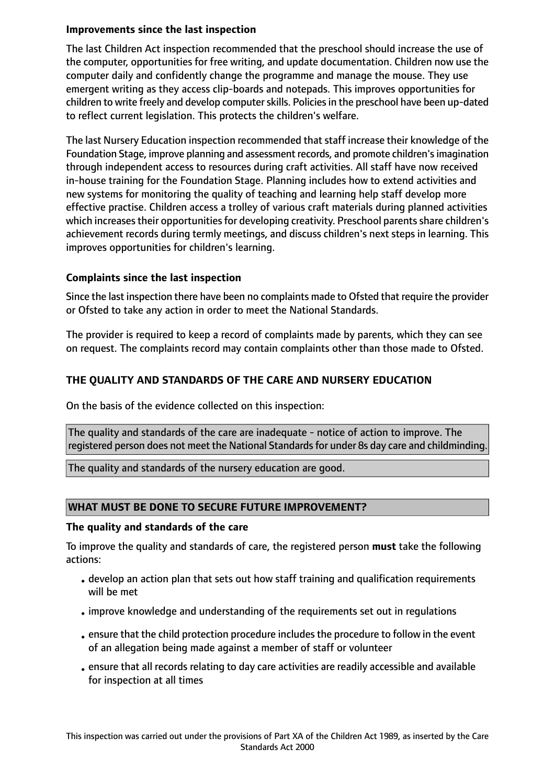## **Improvements since the last inspection**

The last Children Act inspection recommended that the preschool should increase the use of the computer, opportunities for free writing, and update documentation. Children now use the computer daily and confidently change the programme and manage the mouse. They use emergent writing as they access clip-boards and notepads. This improves opportunities for children to write freely and develop computer skills. Policies in the preschool have been up-dated to reflect current legislation. This protects the children's welfare.

The last Nursery Education inspection recommended that staff increase their knowledge of the Foundation Stage, improve planning and assessment records, and promote children'simagination through independent access to resources during craft activities. All staff have now received in-house training for the Foundation Stage. Planning includes how to extend activities and new systems for monitoring the quality of teaching and learning help staff develop more effective practise. Children access a trolley of various craft materials during planned activities which increases their opportunities for developing creativity. Preschool parents share children's achievement records during termly meetings, and discuss children's next steps in learning. This improves opportunities for children's learning.

## **Complaints since the last inspection**

Since the last inspection there have been no complaints made to Ofsted that require the provider or Ofsted to take any action in order to meet the National Standards.

The provider is required to keep a record of complaints made by parents, which they can see on request. The complaints record may contain complaints other than those made to Ofsted.

# **THE QUALITY AND STANDARDS OF THE CARE AND NURSERY EDUCATION**

On the basis of the evidence collected on this inspection:

The quality and standards of the care are inadequate - notice of action to improve. The registered person does not meet the National Standards for under 8s day care and childminding.

The quality and standards of the nursery education are good.

## **WHAT MUST BE DONE TO SECURE FUTURE IMPROVEMENT?**

#### **The quality and standards of the care**

To improve the quality and standards of care, the registered person **must** take the following actions:

- develop an action plan that sets out how staff training and qualification requirements will be met
- •improve knowledge and understanding of the requirements set out in regulations
- •ensure that the child protection procedure includes the procedure to follow in the event of an allegation being made against a member of staff or volunteer
- •ensure that all records relating to day care activities are readily accessible and available for inspection at all times